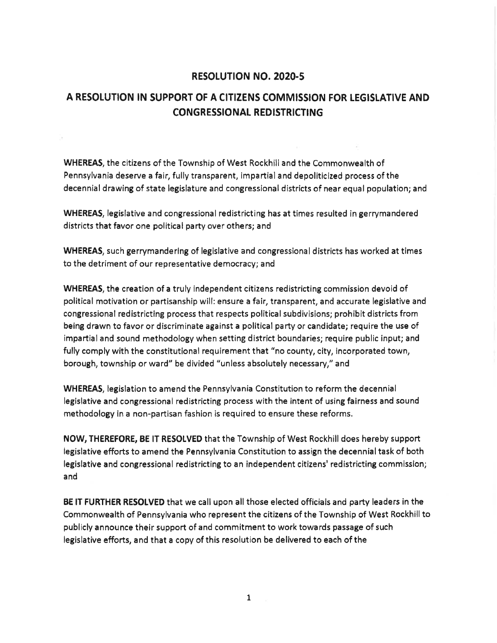## RESOLUTION NO. 2020-5

## A RESOLUTION IN SUPPORT OF A CITIZENS COMMISSION FOR LEGISLATIVE AND CONGRESSIONAL REDISTRICTING

WHEREAS, the citizens of the Township of West Rockhill and the Commonwealth of Pennsylvania deserve a fair, fully transparent, impartial and depoliticized process of the decennial drawing of state legislature and congressional districts of near equal population; and

WHEREAS, legislative and congressional redistricting has at times resulted in gerrymandered districts that favor one political party over others; and

WHEREAS, such gerrymandering of legislative and congressional districts has worked at times to the detriment of our representative democracy; and

WHEREAS, the creation of a truly independent citizens redistricting commission devoid of political motivation or partisanship will: ensure afair, transparent, and accurate legislative and congressional redistricting process that respects political subdivisions; prohibit districts from being drawn to favor or discriminate against a political party or candidate; require the use of impartial and sound rnethodology when setting district boundaries; require public input; and fully comply with the constitutional requirement that "no county, city, incorporated town, borough, township or ward" be divided "unless absolutely necessary," and

WHEREAS, legislation to amend the Pennsylvania Constitution to reform the decennial legislative and congressional redistricting process with the intent of using fairness and sound methodology in a non-partisan fashion is required to ensure these reforms.

NOW, THEREFORE, BE lT RESOLVED that the Township of West Rockhill does hereby support legislative efforts to amend the Pennsylvania Constitution to assign the decennial task of both legislative and congressional redistricting to an independent citizens' redistricting commission; and

BE lT FURTHER RESOLVED that we call upon all those elected officials and party leaders in the Commonwealth of Pennsylvania who represent the citizens of the Township of West Rockhill to publicly announce their support of and commitment to work towards passage of such legislative efforts, and that a copy of this resolution be delivered to each of the

1